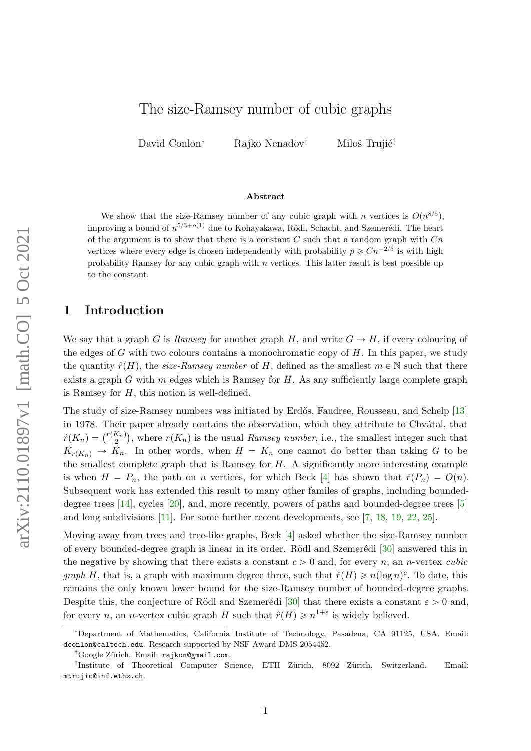David Conlon<sup>∗</sup> Rajko Nenadov<sup>†</sup> Miloš Trujić<sup>‡</sup>

#### Abstract

We show that the size-Ramsey number of any cubic graph with n vertices is  $O(n^{8/5})$ , improving a bound of  $n^{5/3+o(1)}$  due to Kohayakawa, Rödl, Schacht, and Szemerédi. The heart of the argument is to show that there is a constant  $C$  such that a random graph with  $Cn$ vertices where every edge is chosen independently with probability  $p \geq Cn^{-2/5}$  is with high probability Ramsey for any cubic graph with  $n$  vertices. This latter result is best possible up to the constant.

### 1 Introduction

We say that a graph G is Ramsey for another graph H, and write  $G \to H$ , if every colouring of the edges of G with two colours contains a monochromatic copy of  $H$ . In this paper, we study the quantity  $\hat{r}(H)$ , the size-Ramsey number of H, defined as the smallest  $m \in \mathbb{N}$  such that there exists a graph  $G$  with  $m$  edges which is Ramsey for  $H$ . As any sufficiently large complete graph is Ramsey for  $H$ , this notion is well-defined.

The study of size-Ramsey numbers was initiated by Erdős, Faudree, Rousseau, and Schelp [\[13\]](#page-13-0) in 1978. Their paper already contains the observation, which they attribute to Chvátal, that in 1978. Their paper already contains the observation, which they attribute to Chvatal, that  $\hat{r}(K_n) = \binom{r(K_n)}{2}$ , where  $r(K_n)$  is the usual *Ramsey number*, i.e., the smallest integer such that  $K_{r(K_n)} \to K_n$ . In other words, when  $H = K_n$  one cannot do better than taking G to be the smallest complete graph that is Ramsey for  $H$ . A significantly more interesting example is when  $H = P_n$ , the path on n vertices, for which Beck [\[4\]](#page-13-1) has shown that  $\hat{r}(P_n) = O(n)$ . Subsequent work has extended this result to many other familes of graphs, including boundeddegree trees [\[14\]](#page-13-2), cycles [\[20\]](#page-14-0), and, more recently, powers of paths and bounded-degree trees [\[5\]](#page-13-3) and long subdivisions [\[11\]](#page-13-4). For some further recent developments, see [\[7,](#page-13-5) [18,](#page-13-6) [19,](#page-14-1) [22,](#page-14-2) [25\]](#page-14-3).

Moving away from trees and tree-like graphs, Beck [\[4\]](#page-13-1) asked whether the size-Ramsey number of every bounded-degree graph is linear in its order. Rödl and Szemerédi  $[30]$  answered this in the negative by showing that there exists a constant  $c > 0$  and, for every n, an n-vertex cubic *graph* H, that is, a graph with maximum degree three, such that  $\hat{r}(H) \geq n(\log n)^c$ . To date, this remains the only known lower bound for the size-Ramsey number of bounded-degree graphs. Despite this, the conjecture of Rödl and Szemerédi [\[30\]](#page-14-4) that there exists a constant  $\varepsilon > 0$  and, for every *n*, an *n*-vertex cubic graph H such that  $\hat{r}(H) \geq n^{1+\epsilon}$  is widely believed.

<sup>∗</sup>Department of Mathematics, California Institute of Technology, Pasadena, CA 91125, USA. Email: dconlon@caltech.edu. Research supported by NSF Award DMS-2054452.

<sup>&</sup>lt;sup>†</sup>Google Zürich. Email: rajkon@gmail.com.

<sup>&</sup>lt;sup>‡</sup>Institute of Theoretical Computer Science, ETH Zürich, 8092 Zürich, Switzerland. Email: mtrujic@inf.ethz.ch.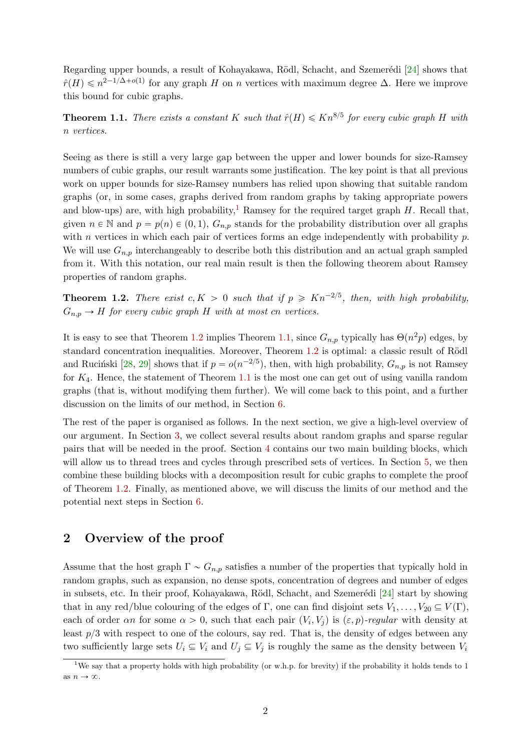Regarding upper bounds, a result of Kohayakawa, Rödl, Schacht, and Szemerédi [\[24\]](#page-14-5) shows that  $\hat{r}(H) \leqslant n^{2-1/\Delta + o(1)}$  for any graph H on n vertices with maximum degree  $\Delta$ . Here we improve this bound for cubic graphs.

<span id="page-1-2"></span>**Theorem 1.1.** There exists a constant K such that  $\hat{r}(H) \leq Kn^{8/5}$  for every cubic graph H with n vertices.

Seeing as there is still a very large gap between the upper and lower bounds for size-Ramsey numbers of cubic graphs, our result warrants some justification. The key point is that all previous work on upper bounds for size-Ramsey numbers has relied upon showing that suitable random graphs (or, in some cases, graphs derived from random graphs by taking appropriate powers and blow-ups) are, with high probability,<sup>[1](#page-1-0)</sup> Ramsey for the required target graph H. Recall that, given  $n \in \mathbb{N}$  and  $p = p(n) \in (0, 1), G_{n,p}$  stands for the probability distribution over all graphs with n vertices in which each pair of vertices forms an edge independently with probability  $p$ . We will use  $G_{n,p}$  interchangeably to describe both this distribution and an actual graph sampled from it. With this notation, our real main result is then the following theorem about Ramsey properties of random graphs.

<span id="page-1-1"></span>**Theorem 1.2.** There exist  $c, K > 0$  such that if  $p \geq K n^{-2/5}$ , then, with high probability,  $G_{n,p} \to H$  for every cubic graph H with at most cn vertices.

It is easy to see that Theorem [1.2](#page-1-1) implies Theorem [1.1,](#page-1-2) since  $G_{n,p}$  typically has  $\Theta(n^2p)$  edges, by standard concentration inequalities. Moreover, Theorem [1.2](#page-1-1) is optimal: a classic result of Rödl and Rucinski [\[28,](#page-14-6) [29\]](#page-14-7) shows that if  $p = o(n^{-2/5})$ , then, with high probability,  $G_{n,p}$  is not Ramsey for  $K_4$ . Hence, the statement of Theorem [1.1](#page-1-2) is the most one can get out of using vanilla random graphs (that is, without modifying them further). We will come back to this point, and a further discussion on the limits of our method, in Section [6.](#page-11-0)

The rest of the paper is organised as follows. In the next section, we give a high-level overview of our argument. In Section [3,](#page-2-0) we collect several results about random graphs and sparse regular pairs that will be needed in the proof. Section [4](#page-6-0) contains our two main building blocks, which will allow us to thread trees and cycles through prescribed sets of vertices. In Section [5,](#page-8-0) we then combine these building blocks with a decomposition result for cubic graphs to complete the proof of Theorem [1.2.](#page-1-1) Finally, as mentioned above, we will discuss the limits of our method and the potential next steps in Section [6.](#page-11-0)

### <span id="page-1-3"></span>2 Overview of the proof

Assume that the host graph  $\Gamma \sim G_{n,p}$  satisfies a number of the properties that typically hold in random graphs, such as expansion, no dense spots, concentration of degrees and number of edges in subsets, etc. In their proof, Kohayakawa, Rödl, Schacht, and Szemerédi  $[24]$  start by showing that in any red/blue colouring of the edges of Γ, one can find disjoint sets  $V_1, \ldots, V_{20} \subseteq V(\Gamma)$ , each of order an for some  $\alpha > 0$ , such that each pair  $(V_i, V_j)$  is  $(\varepsilon, p)$ -regular with density at least  $p/3$  with respect to one of the colours, say red. That is, the density of edges between any two sufficiently large sets  $U_i \subseteq V_i$  and  $U_j \subseteq V_j$  is roughly the same as the density between  $V_i$ 

<span id="page-1-0"></span><sup>&</sup>lt;sup>1</sup>We say that a property holds with high probability (or w.h.p. for brevity) if the probability it holds tends to 1 as  $n \to \infty.$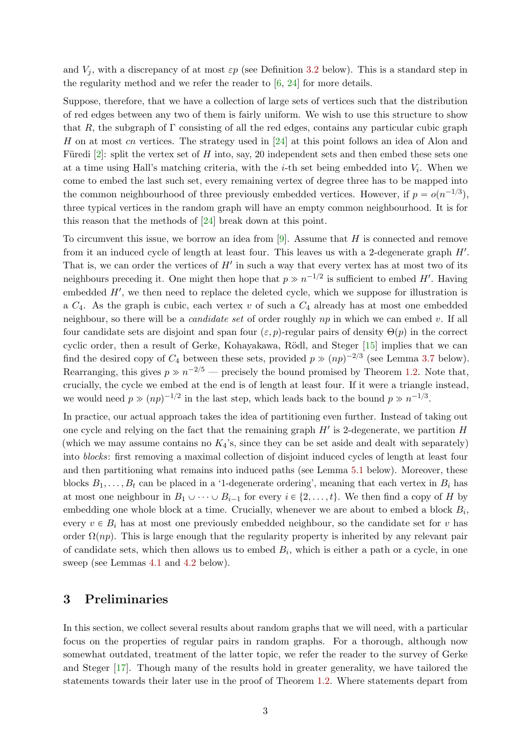and  $V_j$ , with a discrepancy of at most  $\varepsilon p$  (see Definition [3.2](#page-3-0) below). This is a standard step in the regularity method and we refer the reader to  $[6, 24]$  $[6, 24]$  for more details.

Suppose, therefore, that we have a collection of large sets of vertices such that the distribution of red edges between any two of them is fairly uniform. We wish to use this structure to show that R, the subgraph of  $\Gamma$  consisting of all the red edges, contains any particular cubic graph H on at most cn vertices. The strategy used in [\[24\]](#page-14-5) at this point follows an idea of Alon and Füredi [\[2\]](#page-13-8): split the vertex set of H into, say, 20 independent sets and then embed these sets one at a time using Hall's matching criteria, with the *i*-th set being embedded into  $V_i$ . When we come to embed the last such set, every remaining vertex of degree three has to be mapped into the common neighbourhood of three previously embedded vertices. However, if  $p = o(n^{-1/3})$ , three typical vertices in the random graph will have an empty common neighbourhood. It is for this reason that the methods of [\[24\]](#page-14-5) break down at this point.

To circumvent this issue, we borrow an idea from  $[9]$ . Assume that H is connected and remove from it an induced cycle of length at least four. This leaves us with a 2-degenerate graph  $H'$ . That is, we can order the vertices of  $H'$  in such a way that every vertex has at most two of its neighbours preceding it. One might then hope that  $p \gg n^{-1/2}$  is sufficient to embed H'. Having embedded  $H'$ , we then need to replace the deleted cycle, which we suppose for illustration is a  $C_4$ . As the graph is cubic, each vertex v of such a  $C_4$  already has at most one embedded neighbour, so there will be a *candidate set* of order roughly  $np$  in which we can embed v. If all four candidate sets are disjoint and span four  $(\varepsilon, p)$ -regular pairs of density  $\Theta(p)$  in the correct cyclic order, then a result of Gerke, Kohayakawa, Rödl, and Steger [\[15\]](#page-13-10) implies that we can find the desired copy of  $C_4$  between these sets, provided  $p \gg (np)^{-2/3}$  (see Lemma [3.7](#page-5-0) below). Rearranging, this gives  $p \gg n^{-2/5}$  — precisely the bound promised by Theorem [1.2.](#page-1-1) Note that, crucially, the cycle we embed at the end is of length at least four. If it were a triangle instead, we would need  $p \gg (np)^{-1/2}$  in the last step, which leads back to the bound  $p \gg n^{-1/3}$ .

In practice, our actual approach takes the idea of partitioning even further. Instead of taking out one cycle and relying on the fact that the remaining graph  $H'$  is 2-degenerate, we partition  $H$ (which we may assume contains no  $K_4$ 's, since they can be set aside and dealt with separately) into *blocks*: first removing a maximal collection of disjoint induced cycles of length at least four and then partitioning what remains into induced paths (see Lemma [5.1](#page-8-1) below). Moreover, these blocks  $B_1, \ldots, B_t$  can be placed in a '1-degenerate ordering', meaning that each vertex in  $B_i$  has at most one neighbour in  $B_1 \cup \cdots \cup B_{i-1}$  for every  $i \in \{2, \ldots, t\}$ . We then find a copy of H by embedding one whole block at a time. Crucially, whenever we are about to embed a block  $B_i$ , every  $v \in B_i$  has at most one previously embedded neighbour, so the candidate set for v has order  $\Omega(np)$ . This is large enough that the regularity property is inherited by any relevant pair of candidate sets, which then allows us to embed  $B_i$ , which is either a path or a cycle, in one sweep (see Lemmas [4.1](#page-6-1) and [4.2](#page-8-2) below).

### <span id="page-2-0"></span>3 Preliminaries

In this section, we collect several results about random graphs that we will need, with a particular focus on the properties of regular pairs in random graphs. For a thorough, although now somewhat outdated, treatment of the latter topic, we refer the reader to the survey of Gerke and Steger [\[17\]](#page-13-11). Though many of the results hold in greater generality, we have tailored the statements towards their later use in the proof of Theorem [1.2.](#page-1-1) Where statements depart from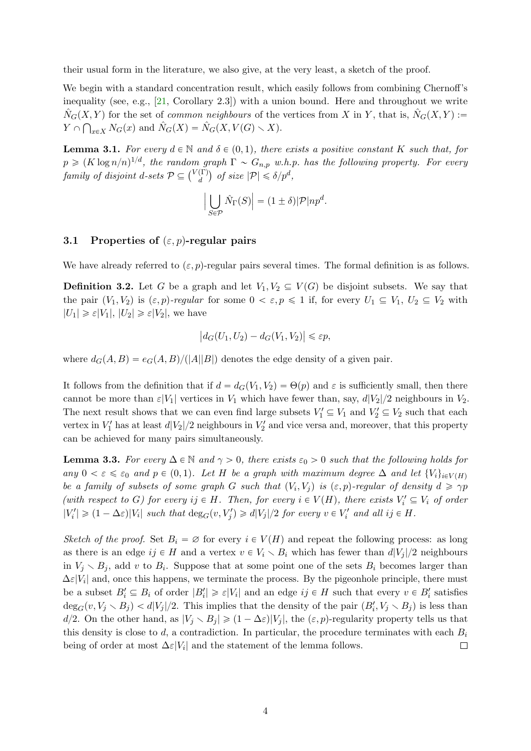their usual form in the literature, we also give, at the very least, a sketch of the proof.

We begin with a standard concentration result, which easily follows from combining Chernoff's inequality (see, e.g.,  $[21,$  Corollary 2.3]) with a union bound. Here and throughout we write  $\hat{N}_G(X, Y)$  for the set of *common neighbours* of the vertices from X in Y, that is,  $\hat{N}_G(X, Y) :=$  $Y \cap \bigcap_{x \in X} N_G(x)$  and  $\hat{N}_G(X) = \hat{N}_G(X, V(G) \setminus X)$ .

<span id="page-3-2"></span>**Lemma 3.1.** For every  $d \in \mathbb{N}$  and  $\delta \in (0, 1)$ , there exists a positive constant K such that, for  $p \geqslant (K \log n/n)^{1/d}$ , the random graph  $\Gamma \sim G_{n,p}$  w.h.p. has the following property. For every family of disjoint d-sets  $\mathcal{P} \subseteq \binom{V(\Gamma)}{d}$  $\begin{array}{c} \binom{\Gamma}{d} \text{ of size } |\mathcal{P}| \leq \delta / p^d, \end{array}$ 

$$
\left| \bigcup_{S \in \mathcal{P}} \hat{N}_{\Gamma}(S) \right| = (1 \pm \delta) |\mathcal{P}| n p^d.
$$

### 3.1 Properties of  $(\varepsilon, p)$ -regular pairs

We have already referred to  $(\varepsilon, p)$ -regular pairs several times. The formal definition is as follows.

<span id="page-3-0"></span>**Definition 3.2.** Let G be a graph and let  $V_1, V_2 \subseteq V(G)$  be disjoint subsets. We say that the pair  $(V_1, V_2)$  is  $(\varepsilon, p)$ -regular for some  $0 < \varepsilon, p \leq 1$  if, for every  $U_1 \subseteq V_1$ ,  $U_2 \subseteq V_2$  with  $|U_1| \geq \varepsilon |V_1|, |U_2| \geq \varepsilon |V_2|$ , we have

$$
\left|d_G(U_1, U_2) - d_G(V_1, V_2)\right| \leq \varepsilon p,
$$

where  $d_G(A, B) = e_G(A, B)/(|A||B|)$  denotes the edge density of a given pair.

It follows from the definition that if  $d = d_G(V_1, V_2) = \Theta(p)$  and  $\varepsilon$  is sufficiently small, then there cannot be more than  $\varepsilon|V_1|$  vertices in  $V_1$  which have fewer than, say,  $d|V_2|/2$  neighbours in  $V_2$ . The next result shows that we can even find large subsets  $V'_1 \subseteq V_1$  and  $V'_2 \subseteq V_2$  such that each vertex in  $V_1'$  has at least  $d|V_2|/2$  neighbours in  $V_2'$  and vice versa and, moreover, that this property can be achieved for many pairs simultaneously.

<span id="page-3-1"></span>**Lemma 3.3.** For every  $\Delta \in \mathbb{N}$  and  $\gamma > 0$ , there exists  $\varepsilon_0 > 0$  such that the following holds for any  $0 < \varepsilon \leq \varepsilon_0$  and  $p \in (0, 1)$ . Let H be a graph with maximum degree  $\Delta$  and let  $\{V_i\}_{i \in V(H)}$ be a family of subsets of some graph G such that  $(V_i, V_j)$  is  $(\varepsilon, p)$ -regular of density  $d \geq \gamma p$ (with respect to G) for every  $ij \in H$ . Then, for every  $i \in V(H)$ , there exists  $V'_i \subseteq V_i$  of order  $|V_i'|\geq (1-\Delta\varepsilon)|V_i|$  such that  $\deg_G(v, V_j')\geq d|V_j|/2$  for every  $v\in V_i'$  and all  $ij\in H$ .

Sketch of the proof. Set  $B_i = \emptyset$  for every  $i \in V(H)$  and repeat the following process: as long as there is an edge  $ij \in H$  and a vertex  $v \in V_i \setminus B_i$  which has fewer than  $d|V_j|/2$  neighbours in  $V_j \setminus B_j$ , add v to  $B_i$ . Suppose that at some point one of the sets  $B_i$  becomes larger than  $\Delta \varepsilon |V_i|$  and, once this happens, we terminate the process. By the pigeonhole principle, there must be a subset  $B_i' \subseteq B_i$  of order  $|B_i'| \geq \varepsilon |V_i|$  and an edge  $ij \in H$  such that every  $v \in B_i'$  satisfies  $\deg_G(v, V_j \setminus B_j) < d|V_j|/2$ . This implies that the density of the pair  $(B'_i, V_j \setminus B_j)$  is less than d/2. On the other hand, as  $|V_i \setminus B_i| \geq (1 - \Delta \varepsilon)|V_i|$ , the  $(\varepsilon, p)$ -regularity property tells us that this density is close to d, a contradiction. In particular, the procedure terminates with each  $B_i$ being of order at most  $\Delta \varepsilon |V_i|$  and the statement of the lemma follows.  $\Box$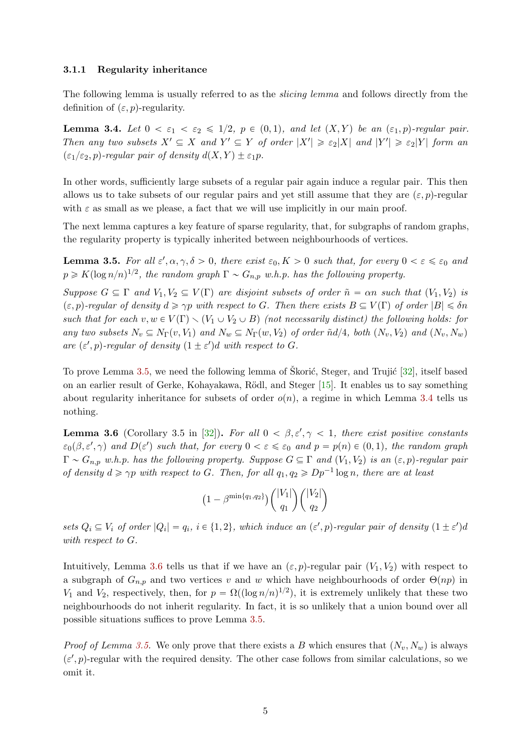#### 3.1.1 Regularity inheritance

The following lemma is usually referred to as the *slicing lemma* and follows directly from the definition of  $(\varepsilon, p)$ -regularity.

<span id="page-4-1"></span>**Lemma 3.4.** Let  $0 < \varepsilon_1 < \varepsilon_2 \leq 1/2$ ,  $p \in (0, 1)$ , and let  $(X, Y)$  be an  $(\varepsilon_1, p)$ -regular pair. Then any two subsets  $X' \subseteq X$  and  $Y' \subseteq Y$  of order  $|X'| \geq \varepsilon_2 |X|$  and  $|Y'| \geq \varepsilon_2 |Y|$  form an  $(\varepsilon_1/\varepsilon_2, p)$ -regular pair of density  $d(X, Y) \pm \varepsilon_1 p$ .

In other words, sufficiently large subsets of a regular pair again induce a regular pair. This then allows us to take subsets of our regular pairs and yet still assume that they are  $(\varepsilon, p)$ -regular with  $\varepsilon$  as small as we please, a fact that we will use implicitly in our main proof.

The next lemma captures a key feature of sparse regularity, that, for subgraphs of random graphs, the regularity property is typically inherited between neighbourhoods of vertices.

<span id="page-4-0"></span>**Lemma 3.5.** For all  $\varepsilon', \alpha, \gamma, \delta > 0$ , there exist  $\varepsilon_0, K > 0$  such that, for every  $0 < \varepsilon \leq \varepsilon_0$  and  $p \geqslant K(\log n/n)^{1/2}$ , the random graph  $\Gamma \sim G_{n,p}$  w.h.p. has the following property.

Suppose  $G \subseteq \Gamma$  and  $V_1, V_2 \subseteq V(\Gamma)$  are disjoint subsets of order  $\tilde{n} = \alpha n$  such that  $(V_1, V_2)$  is  $(\varepsilon, p)$ -regular of density  $d \geq \gamma p$  with respect to G. Then there exists  $B \subseteq V(\Gamma)$  of order  $|B| \leq \delta n$ such that for each  $v, w \in V(\Gamma) \setminus (V_1 \cup V_2 \cup B)$  (not necessarily distinct) the following holds: for any two subsets  $N_v \subseteq N_{\Gamma}(v, V_1)$  and  $N_w \subseteq N_{\Gamma}(w, V_2)$  of order  $\tilde{n}d/4$ , both  $(N_v, V_2)$  and  $(N_v, N_w)$ are  $(\varepsilon', p)$ -regular of density  $(1 \pm \varepsilon')d$  with respect to G.

To prove Lemma [3.5,](#page-4-0) we need the following lemma of Skorić, Steger, and Trujić [[32\]](#page-14-9), itself based on an earlier result of Gerke, Kohayakawa, R¨odl, and Steger [\[15\]](#page-13-10). It enables us to say something about regularity inheritance for subsets of order  $o(n)$ , a regime in which Lemma [3.4](#page-4-1) tells us nothing.

<span id="page-4-2"></span>**Lemma 3.6** (Corollary 3.5 in [\[32\]](#page-14-9)). For all  $0 < \beta, \epsilon', \gamma < 1$ , there exist positive constants  $\varepsilon_0(\beta, \varepsilon', \gamma)$  and  $D(\varepsilon')$  such that, for every  $0 < \varepsilon \leq \varepsilon_0$  and  $p = p(n) \in (0, 1)$ , the random graph  $\Gamma \sim G_{n,p}$  w.h.p. has the following property. Suppose  $G \subseteq \Gamma$  and  $(V_1, V_2)$  is an  $(\varepsilon, p)$ -regular pair of density  $d \ge \gamma p$  with respect to G. Then, for all  $q_1, q_2 \ge Dp^{-1} \log n$ , there are at least

$$
(1 - \beta^{\min\{q_1, q_2\}}) \binom{|V_1|}{q_1} \binom{|V_2|}{q_2}
$$

sets  $Q_i \subseteq V_i$  of order  $|Q_i| = q_i$ ,  $i \in \{1, 2\}$ , which induce an  $(\varepsilon', p)$ -regular pair of density  $(1 \pm \varepsilon')d$ with respect to G.

Intuitively, Lemma [3.6](#page-4-2) tells us that if we have an  $(\varepsilon, p)$ -regular pair  $(V_1, V_2)$  with respect to a subgraph of  $G_{n,p}$  and two vertices v and w which have neighbourhoods of order  $\Theta(np)$  in V<sub>1</sub> and V<sub>2</sub>, respectively, then, for  $p = \Omega((\log n/n)^{1/2})$ , it is extremely unlikely that these two neighbourhoods do not inherit regularity. In fact, it is so unlikely that a union bound over all possible situations suffices to prove Lemma [3.5.](#page-4-0)

*Proof of Lemma [3.5.](#page-4-0)* We only prove that there exists a B which ensures that  $(N_v, N_w)$  is always  $(\varepsilon', p)$ -regular with the required density. The other case follows from similar calculations, so we omit it.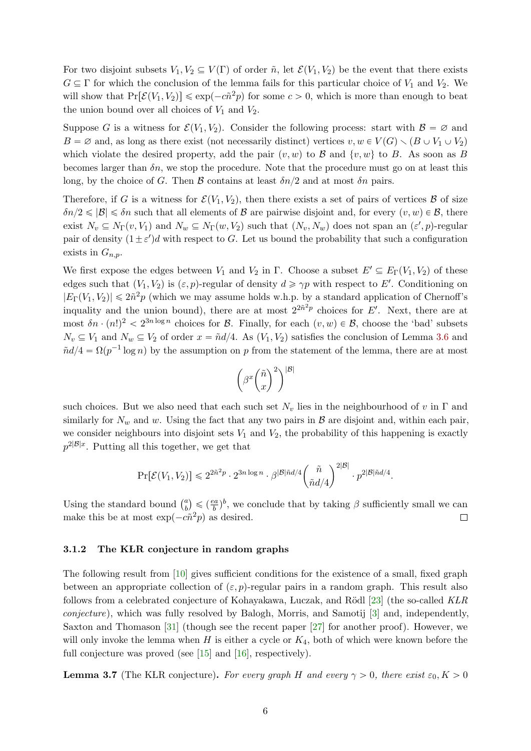For two disjoint subsets  $V_1, V_2 \subseteq V(\Gamma)$  of order  $\tilde{n}$ , let  $\mathcal{E}(V_1, V_2)$  be the event that there exists  $G \subseteq \Gamma$  for which the conclusion of the lemma fails for this particular choice of  $V_1$  and  $V_2$ . We will show that  $Pr[\mathcal{E}(V_1, V_2)] \leq \exp(-c\tilde{n}^2p)$  for some  $c > 0$ , which is more than enough to beat the union bound over all choices of  $V_1$  and  $V_2$ .

Suppose G is a witness for  $\mathcal{E}(V_1, V_2)$ . Consider the following process: start with  $\mathcal{B} = \emptyset$  and  $B = \emptyset$  and, as long as there exist (not necessarily distinct) vertices  $v, w \in V(G) \setminus (B \cup V_1 \cup V_2)$ which violate the desired property, add the pair  $(v, w)$  to B and  $\{v, w\}$  to B. As soon as B becomes larger than  $\delta n$ , we stop the procedure. Note that the procedure must go on at least this long, by the choice of G. Then B contains at least  $\delta n/2$  and at most  $\delta n$  pairs.

Therefore, if G is a witness for  $\mathcal{E}(V_1, V_2)$ , then there exists a set of pairs of vertices  $\beta$  of size  $\delta n/2 \leqslant |\mathcal{B}| \leqslant \delta n$  such that all elements of B are pairwise disjoint and, for every  $(v, w) \in \mathcal{B}$ , there exist  $N_v \subseteq N_{\Gamma}(v, V_1)$  and  $N_w \subseteq N_{\Gamma}(w, V_2)$  such that  $(N_v, N_w)$  does not span an  $(\varepsilon', p)$ -regular pair of density  $(1 \pm \varepsilon')d$  with respect to G. Let us bound the probability that such a configuration exists in  $G_{n,p}$ .

We first expose the edges between  $V_1$  and  $V_2$  in  $\Gamma$ . Choose a subset  $E' \subseteq E_{\Gamma}(V_1, V_2)$  of these edges such that  $(V_1, V_2)$  is  $(\varepsilon, p)$ -regular of density  $d \geq \gamma p$  with respect to E'. Conditioning on  $|E_{\Gamma}(V_1, V_2)| \leq 2\tilde{n}^2p$  (which we may assume holds w.h.p. by a standard application of Chernoff's inquality and the union bound), there are at most  $2^{2n^2p}$  choices for E'. Next, there are at most  $\delta n \cdot (n!)^2 < 2^{3n \log n}$  choices for B. Finally, for each  $(v, w) \in \mathcal{B}$ , choose the 'bad' subsets  $N_v \subseteq V_1$  and  $N_w \subseteq V_2$  of order  $x = \tilde{n}d/4$ . As  $(V_1, V_2)$  satisfies the conclusion of Lemma [3.6](#page-4-2) and  $\tilde{n}d/4 = \Omega(p^{-1}\log n)$  by the assumption on p from the statement of the lemma, there are at most

$$
\left(\beta^x\binom{\tilde{n}}{x}^2\right)^{|\mathcal{B}|}
$$

such choices. But we also need that each such set  $N_v$  lies in the neighbourhood of v in  $\Gamma$  and similarly for  $N_w$  and w. Using the fact that any two pairs in  $\beta$  are disjoint and, within each pair, we consider neighbours into disjoint sets  $V_1$  and  $V_2$ , the probability of this happening is exactly  $p^{2|\mathcal{B}|x}$ . Putting all this together, we get that

$$
\Pr[\mathcal{E}(V_1,V_2)] \leqslant 2^{2\tilde{n}^2p}\cdot 2^{3n\log n}\cdot \beta^{|\mathcal{B}|\tilde{n}d/4} \binom{\tilde{n}}{\tilde{n}d/4}^{2|\mathcal{B}|}\cdot p^{2|\mathcal{B}|\tilde{n}d/4}.
$$

Using the standard bound  $\binom{a}{b}$  $\leqslant (\frac{ea}{b})^b$ , we conclude that by taking  $\beta$  sufficiently small we can b make this be at most  $\exp(-c\tilde{n}^2p)$  as desired.  $\Box$ 

#### 3.1.2 The KLR conjecture in random graphs

The following result from [\[10\]](#page-13-12) gives sufficient conditions for the existence of a small, fixed graph between an appropriate collection of  $(\varepsilon, p)$ -regular pairs in a random graph. This result also follows from a celebrated conjecture of Kohayakawa, Luczak, and Rödl [\[23\]](#page-14-10) (the so-called  $KLR$ conjecture), which was fully resolved by Balogh, Morris, and Samotij [\[3\]](#page-13-13) and, independently, Saxton and Thomason  $[31]$  (though see the recent paper  $[27]$  for another proof). However, we will only invoke the lemma when  $H$  is either a cycle or  $K_4$ , both of which were known before the full conjecture was proved (see [\[15\]](#page-13-10) and [\[16\]](#page-13-14), respectively).

<span id="page-5-0"></span>**Lemma 3.7** (The KLR conjecture). For every graph H and every  $\gamma > 0$ , there exist  $\varepsilon_0, K > 0$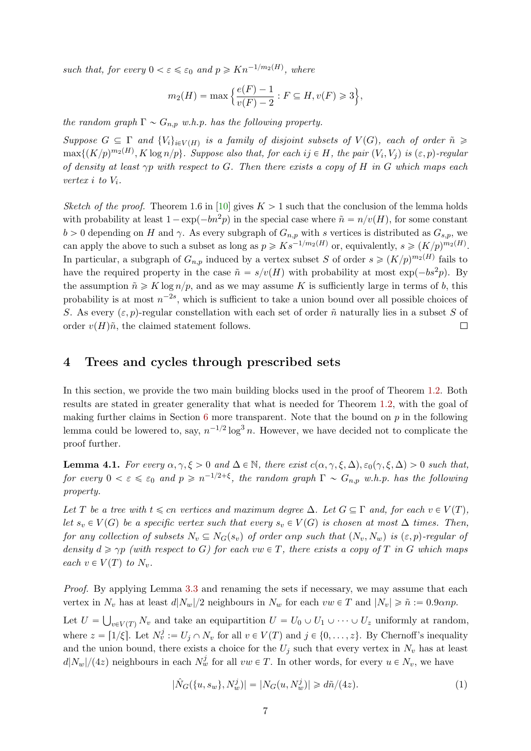such that, for every  $0 < \varepsilon \leq \varepsilon_0$  and  $p \geq Kn^{-1/m_2(H)}$ , where

$$
m_2(H) = \max \Big\{ \frac{e(F) - 1}{v(F) - 2} : F \subseteq H, v(F) \ge 3 \Big\},\
$$

the random graph  $\Gamma \sim G_{n,p}$  w.h.p. has the following property.

Suppose  $G \subseteq \Gamma$  and  $\{V_i\}_{i \in V(H)}$  is a family of disjoint subsets of  $V(G)$ , each of order  $\tilde{n} \geq$  $\max\{(K/p)^{m_2(H)}, K \log n/p\}$ . Suppose also that, for each  $ij \in H$ , the pair  $(V_i, V_j)$  is  $(\varepsilon, p)$ -regular of density at least  $\gamma p$  with respect to G. Then there exists a copy of H in G which maps each vertex i to  $V_i$ .

Sketch of the proof. Theorem 1.6 in [\[10\]](#page-13-12) gives  $K > 1$  such that the conclusion of the lemma holds with probability at least  $1 - \exp(-bn^2p)$  in the special case where  $\tilde{n} = n/v(H)$ , for some constant  $b > 0$  depending on H and  $\gamma$ . As every subgraph of  $G_{n,p}$  with s vertices is distributed as  $G_{s,p}$ , we can apply the above to such a subset as long as  $p \geqslant K s^{-1/m_2(H)}$  or, equivalently,  $s \geqslant (K/p)^{m_2(H)}$ . In particular, a subgraph of  $G_{n,p}$  induced by a vertex subset S of order  $s \geq (K/p)^{m_2(H)}$  fails to have the required property in the case  $\tilde{n} = s/v(H)$  with probability at most  $\exp(-bs^2p)$ . By the assumption  $\tilde{n} \geqslant K \log n/p$ , and as we may assume K is sufficiently large in terms of b, this probability is at most  $n^{-2s}$ , which is sufficient to take a union bound over all possible choices of S. As every  $(\varepsilon, p)$ -regular constellation with each set of order  $\tilde{n}$  naturally lies in a subset S of order  $v(H)\tilde{n}$ , the claimed statement follows.  $\Box$ 

### <span id="page-6-0"></span>4 Trees and cycles through prescribed sets

In this section, we provide the two main building blocks used in the proof of Theorem [1.2.](#page-1-1) Both results are stated in greater generality that what is needed for Theorem [1.2,](#page-1-1) with the goal of making further claims in Section [6](#page-11-0) more transparent. Note that the bound on  $p$  in the following lemma could be lowered to, say,  $n^{-1/2} \log^3 n$ . However, we have decided not to complicate the proof further.

<span id="page-6-1"></span>**Lemma 4.1.** For every  $\alpha, \gamma, \xi > 0$  and  $\Delta \in \mathbb{N}$ , there exist  $c(\alpha, \gamma, \xi, \Delta), \varepsilon_0(\gamma, \xi, \Delta) > 0$  such that, for every  $0 < \varepsilon \leqslant \varepsilon_0$  and  $p \geqslant n^{-1/2+\xi}$ , the random graph  $\Gamma \sim G_{n,p}$  w.h.p. has the following property.

Let T be a tree with  $t \leq c$ n vertices and maximum degree  $\Delta$ . Let  $G \subseteq \Gamma$  and, for each  $v \in V(T)$ , let  $s_v \in V(G)$  be a specific vertex such that every  $s_v \in V(G)$  is chosen at most  $\Delta$  times. Then, for any collection of subsets  $N_v \subseteq N_G(s_v)$  of order anp such that  $(N_v, N_w)$  is  $(\varepsilon, p)$ -regular of density  $d \ge \gamma p$  (with respect to G) for each vw  $\in T$ , there exists a copy of T in G which maps each  $v \in V(T)$  to  $N_v$ .

Proof. By applying Lemma [3.3](#page-3-1) and renaming the sets if necessary, we may assume that each vertex in  $N_v$  has at least  $d|N_w|/2$  neighbours in  $N_w$  for each  $vw \in T$  and  $|N_v| \geq \tilde{n} := 0.9 \alpha np$ .

Let  $U =$  $v \in V(T)$   $N_v$  and take an equipartition  $U = U_0 \cup U_1 \cup \cdots \cup U_z$  uniformly at random, where  $z = \lfloor 1/\xi \rfloor$ . Let  $N_v^j := U_j \cap N_v$  for all  $v \in V(T)$  and  $j \in \{0, \ldots, z\}$ . By Chernoff's inequality and the union bound, there exists a choice for the  $U_j$  such that every vertex in  $N_v$  has at least  $d|N_w|/(4z)$  neighbours in each  $N_w^j$  for all  $vw \in T$ . In other words, for every  $u \in N_v$ , we have

<span id="page-6-2"></span>
$$
|\hat{N}_G(\{u, s_w\}, N_w^j)| = |N_G(u, N_w^j)| \ge d\tilde{n}/(4z). \tag{1}
$$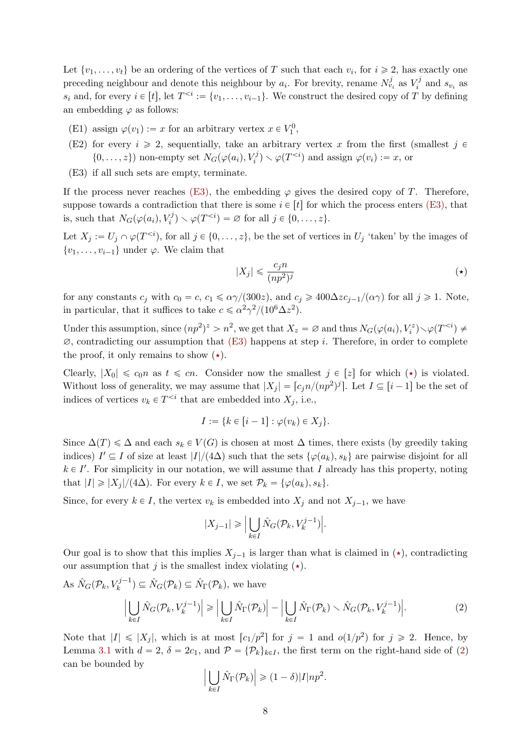Let  $\{v_1, \ldots, v_t\}$  be an ordering of the vertices of T such that each  $v_i$ , for  $i \geq 2$ , has exactly one preceding neighbour and denote this neighbour by  $a_i$ . For brevity, rename  $N_{v_i}^j$  as  $V_i^j$  $\zeta_i^j$  and  $s_{v_i}$  as  $s_i$  and, for every  $i \in [t]$ , let  $T^{ We construct the desired copy of T by defining$ an embedding  $\varphi$  as follows:

- (E1) assign  $\varphi(v_1) := x$  for an arbitrary vertex  $x \in V_1^0$ ,
- (E2) for every  $i \geq 2$ , sequentially, take an arbitrary vertex x from the first (smallest  $j \in \mathbb{Z}$ )  $\{0, \ldots, z\}$  non-empty set  $N_G(\varphi(a_i), V_i^j) \setminus \varphi(T^{ and assign  $\varphi(v_i) := x$ , or$
- <span id="page-7-0"></span>(E3) if all such sets are empty, terminate.

If the process never reaches [\(E3\),](#page-7-0) the embedding  $\varphi$  gives the desired copy of T. Therefore, suppose towards a contradiction that there is some  $i \in [t]$  for which the process enters [\(E3\),](#page-7-0) that is, such that  $N_G(\varphi(a_i), V_i^j) \setminus \varphi(T^{ for all  $j \in \{0, \ldots, z\}.$$ 

Let  $X_j := U_j \cap \varphi(T^{\leq i})$ , for all  $j \in \{0, \ldots, z\}$ , be the set of vertices in  $U_j$  'taken' by the images of  $\{v_1, \ldots, v_{i-1}\}\$ under  $\varphi$ . We claim that

<span id="page-7-2"></span><span id="page-7-1"></span>
$$
|X_j| \leqslant \frac{c_j n}{(np^2)^j} \tag{(*)}
$$

for any constants  $c_j$  with  $c_0 = c$ ,  $c_1 \le \alpha \gamma/(300z)$ , and  $c_j \ge 400\Delta z c_{j-1}/(\alpha \gamma)$  for all  $j \ge 1$ . Note, in particular, that it suffices to take  $c \le \alpha^2 \gamma^2 / (10^6 \Delta z^2)$ .

Under this assumption, since  $(np^2)^z > n^2$ , we get that  $X_z = \varnothing$  and thus  $N_G(\varphi(a_i), V_i^z) \setminus \varphi(T^{\leq i}) \neq \varnothing$  $\varnothing$ , contradicting our assumption that  $(E3)$  happens at step *i*. Therefore, in order to complete the proof, it only remains to show  $(\star)$ .

Clearly,  $|X_0| \le c_0 n$  as  $t \le cn$ . Consider now the smallest  $j \in [z]$  for which  $(\star)$  is violated. Without loss of generality, we may assume that  $|X_j| = \lceil c_j n/(np^2)^j \rceil$ . Let  $I \subseteq [i-1]$  be the set of indices of vertices  $v_k \in T^{\leq i}$  that are embedded into  $X_j$ , i.e.,

$$
I := \{k \in [i-1] : \varphi(v_k) \in X_j\}.
$$

Since  $\Delta(T) \leq \Delta$  and each  $s_k \in V(G)$  is chosen at most  $\Delta$  times, there exists (by greedily taking indices)  $I' \subseteq I$  of size at least  $|I|/(4\Delta)$  such that the sets  $\{\varphi(a_k), s_k\}$  are pairwise disjoint for all  $k \in I'$ . For simplicity in our notation, we will assume that I already has this property, noting that  $|I| \geq |X_j|/(4\Delta)$ . For every  $k \in I$ , we set  $\mathcal{P}_k = {\varphi(a_k), s_k}.$ 

Since, for every  $k \in I$ , the vertex  $v_k$  is embedded into  $X_j$  and not  $X_{j-1}$ , we have

$$
|X_{j-1}| \geqslant \Big|\bigcup_{k\in I} \hat{N}_G(\mathcal{P}_k, V_k^{j-1})\Big|.
$$

Our goal is to show that this implies  $X_{j-1}$  is larger than what is claimed in ( $\star$ ), contradicting our assumption that j is the smallest index violating  $(\star)$ .

As 
$$
\hat{N}_G(\mathcal{P}_k, V_k^{j-1}) \subseteq \hat{N}_G(\mathcal{P}_k) \subseteq \hat{N}_\Gamma(\mathcal{P}_k)
$$
, we have  
\n
$$
\left| \bigcup_{k \in I} \hat{N}_G(\mathcal{P}_k, V_k^{j-1}) \right| \geq \left| \bigcup_{k \in I} \hat{N}_\Gamma(\mathcal{P}_k) \right| - \left| \bigcup_{k \in I} \hat{N}_\Gamma(\mathcal{P}_k) \right| \cdot \hat{N}_G(\mathcal{P}_k, V_k^{j-1}) \right|.
$$
\n(2)

Note that  $|I| \leq |X_j|$ , which is at most  $[c_1/p^2]$  for  $j = 1$  and  $o(1/p^2)$  for  $j \geq 2$ . Hence, by Lemma [3.1](#page-3-2) with  $d = 2$ ,  $\delta = 2c_1$ , and  $\mathcal{P} = {\mathcal{P}_k}_{k \in I}$ , the first term on the right-hand side of [\(2\)](#page-7-2) can be bounded by ˇ

$$
\left|\bigcup_{k\in I} \hat{N}_{\Gamma}(\mathcal{P}_k)\right| \geq (1-\delta)|I|np^2.
$$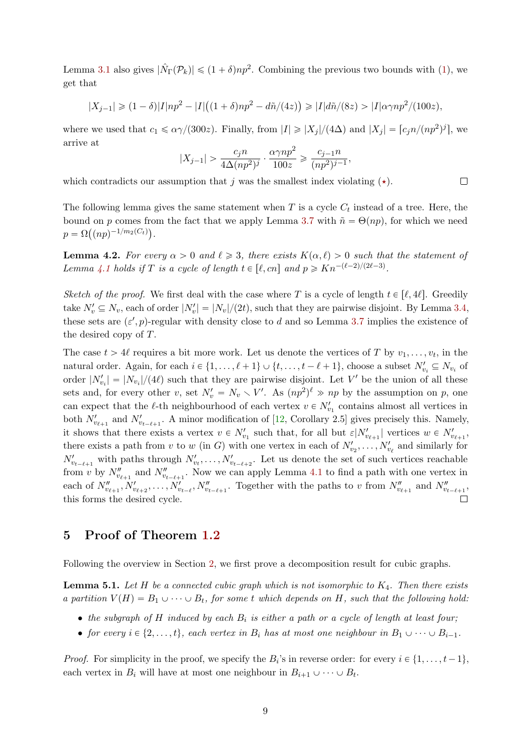Lemma [3.1](#page-3-2) also gives  $|\hat{N}_{\Gamma}(\mathcal{P}_k)| \leq (1+\delta)np^2$ . Combining the previous two bounds with [\(1\)](#page-6-2), we get that

$$
|X_{j-1}| \ge (1-\delta)|I|np^2 - |I|((1+\delta)np^2 - d\tilde{n}/(4z)) \ge |I|d\tilde{n}/(8z) > |I|\alpha\gamma np^2/(100z),
$$

where we used that  $c_1 \le \alpha \gamma/(300z)$ . Finally, from  $|I| \ge |X_j|/(4\Delta)$  and  $|X_j| = [c_j n/(np^2)^j]$ , we arrive at

$$
|X_{j-1}| > \frac{c_j n}{4\Delta(np^2)^j} \cdot \frac{\alpha \gamma np^2}{100z} \geqslant \frac{c_{j-1}n}{(np^2)^{j-1}},
$$

 $\Box$ 

which contradicts our assumption that j was the smallest index violating  $(\star)$ .

The following lemma gives the same statement when  $T$  is a cycle  $C_t$  instead of a tree. Here, the bound on p comes from the fact that we apply Lemma [3.7](#page-5-0) with  $\tilde{n} = \Theta(np)$ , for which we need  $p = \Omega((np)^{-1/m_2(C_t)}).$ 

<span id="page-8-2"></span>**Lemma 4.2.** For every  $\alpha > 0$  and  $\ell \geq 3$ , there exists  $K(\alpha, \ell) > 0$  such that the statement of Lemma [4.1](#page-6-1) holds if T is a cycle of length  $t \in [\ell, cn]$  and  $p \geq Kn^{-(\ell-2)/(2\ell-3)}$ .

Sketch of the proof. We first deal with the case where T is a cycle of length  $t \in [\ell, 4\ell]$ . Greedily take  $N'_v \subseteq N_v$ , each of order  $|N'_v| = |N_v|/(2t)$ , such that they are pairwise disjoint. By Lemma [3.4,](#page-4-1) these sets are  $(\varepsilon', p)$ -regular with density close to d and so Lemma [3.7](#page-5-0) implies the existence of the desired copy of T.

The case  $t > 4\ell$  requires a bit more work. Let us denote the vertices of T by  $v_1, \ldots, v_t$ , in the natural order. Again, for each  $i \in \{1, ..., \ell + 1\} \cup \{t, ..., t - \ell + 1\}$ , choose a subset  $N'_{v_i} \subseteq N_{v_i}$  of order  $|N'_{v_i}| = |N_{v_i}|/(4\ell)$  such that they are pairwise disjoint. Let V' be the union of all these sets and, for every other v, set  $N'_v = N_v \setminus V'$ . As  $(np^2)^{\ell} \gg np$  by the assumption on p, one can expect that the  $\ell$ -th neighbourhood of each vertex  $v \in N'_{v_1}$  contains almost all vertices in both  $N'_{v_{\ell+1}}$  and  $N'_{v_{t-\ell+1}}$ . A minor modification of [\[12,](#page-13-15) Corollary 2.5] gives precisely this. Namely, it shows that there exists a vertex  $v \in N'_{v_1}$  such that, for all but  $\varepsilon|N'_{v_{\ell+1}}|$  vertices  $w \in N'_{v_{\ell+1}}$ , there exists a path from v to w (in G) with one vertex in each of  $N'_{v_2}, \ldots, N'_{v_\ell}$  and similarly for  $N'_{v_{t-\ell+1}}$  with paths through  $N'_{v_t}, \ldots, N'_{v_{t-\ell+2}}$ . Let us denote the set of such vertices reachable from v by  $N''_{v_{\ell+1}}$  and  $N''_{v_{t-\ell+1}}$ . Now we can apply Lemma [4.1](#page-6-1) to find a path with one vertex in each of  $N''_{v_{\ell+1}}, N'_{v_{\ell+2}}, \ldots, N'_{v_{t-\ell}}, N''_{v_{t-\ell+1}}$ . Together with the paths to v from  $N''_{v_{\ell+1}}$  and  $N''_{v_{t-\ell+1}}$ , this forms the desired cycle.

# <span id="page-8-0"></span>5 Proof of Theorem [1.2](#page-1-1)

Following the overview in Section [2,](#page-1-3) we first prove a decomposition result for cubic graphs.

<span id="page-8-1"></span>**Lemma 5.1.** Let H be a connected cubic graph which is not isomorphic to  $K_4$ . Then there exists a partition  $V(H) = B_1 \cup \cdots \cup B_t$ , for some t which depends on H, such that the following hold:

- the subgraph of H induced by each  $B_i$  is either a path or a cycle of length at least four;
- for every  $i \in \{2, ..., t\}$ , each vertex in  $B_i$  has at most one neighbour in  $B_1 \cup \cdots \cup B_{i-1}$ .

*Proof.* For simplicity in the proof, we specify the  $B_i$ 's in reverse order: for every  $i \in \{1, \ldots, t-1\}$ , each vertex in  $B_i$  will have at most one neighbour in  $B_{i+1} \cup \cdots \cup B_t$ .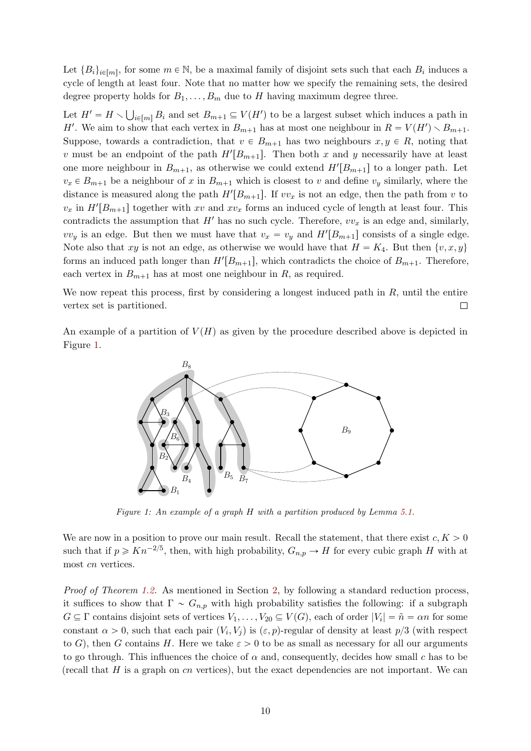Let  ${B_i}_{i \in [m]}$ , for some  $m \in \mathbb{N}$ , be a maximal family of disjoint sets such that each  $B_i$  induces a cycle of length at least four. Note that no matter how we specify the remaining sets, the desired degree property holds for  $B_1, \ldots, B_m$  due to H having maximum degree three. ť.

Let  $H' = H \setminus$  $\sum_{i\in[m]} B_i$  and set  $B_{m+1} \subseteq V(H')$  to be a largest subset which induces a path in H'. We aim to show that each vertex in  $B_{m+1}$  has at most one neighbour in  $R = V(H') \setminus B_{m+1}$ . Suppose, towards a contradiction, that  $v \in B_{m+1}$  has two neighbours  $x, y \in R$ , noting that v must be an endpoint of the path  $H'[B_{m+1}]$ . Then both x and y necessarily have at least one more neighbour in  $B_{m+1}$ , as otherwise we could extend  $H'[B_{m+1}]$  to a longer path. Let  $v_x \in B_{m+1}$  be a neighbour of x in  $B_{m+1}$  which is closest to v and define  $v_y$  similarly, where the distance is measured along the path  $H'[B_{m+1}]$ . If  $vv_x$  is not an edge, then the path from v to  $v_x$  in  $H'[B_{m+1}]$  together with xv and  $xv_x$  forms an induced cycle of length at least four. This contradicts the assumption that  $H'$  has no such cycle. Therefore,  $vv_x$  is an edge and, similarly,  $vv_y$  is an edge. But then we must have that  $v_x = v_y$  and  $H'[B_{m+1}]$  consists of a single edge. Note also that xy is not an edge, as otherwise we would have that  $H = K_4$ . But then  $\{v, x, y\}$ forms an induced path longer than  $H'[B_{m+1}]$ , which contradicts the choice of  $B_{m+1}$ . Therefore, each vertex in  $B_{m+1}$  has at most one neighbour in R, as required.

We now repeat this process, first by considering a longest induced path in  $R$ , until the entire vertex set is partitioned.  $\Box$ 

<span id="page-9-0"></span>An example of a partition of  $V(H)$  as given by the procedure described above is depicted in Figure [1.](#page-9-0)



Figure 1: An example of a graph H with a partition produced by Lemma [5.1.](#page-8-1)

We are now in a position to prove our main result. Recall the statement, that there exist  $c, K > 0$ such that if  $p \geqslant Kn^{-2/5}$ , then, with high probability,  $G_{n,p} \to H$  for every cubic graph H with at most cn vertices.

Proof of Theorem [1.2.](#page-1-1) As mentioned in Section [2,](#page-1-3) by following a standard reduction process, it suffices to show that  $\Gamma \sim G_{n,p}$  with high probability satisfies the following: if a subgraph  $G \subseteq \Gamma$  contains disjoint sets of vertices  $V_1, \ldots, V_{20} \subseteq V(G)$ , each of order  $|V_i| = \tilde{n} = \alpha n$  for some constant  $\alpha > 0$ , such that each pair  $(V_i, V_j)$  is  $(\varepsilon, p)$ -regular of density at least  $p/3$  (with respect to G), then G contains H. Here we take  $\varepsilon > 0$  to be as small as necessary for all our arguments to go through. This influences the choice of  $\alpha$  and, consequently, decides how small c has to be (recall that  $H$  is a graph on  $cn$  vertices), but the exact dependencies are not important. We can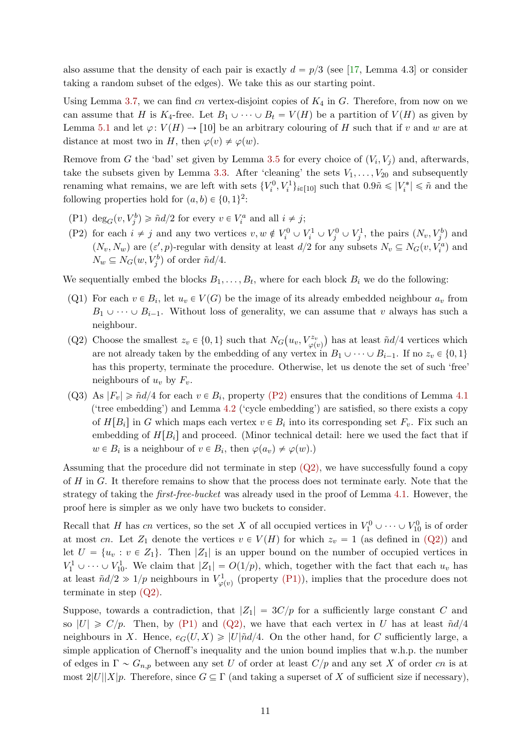also assume that the density of each pair is exactly  $d = p/3$  (see [\[17,](#page-13-11) Lemma 4.3] or consider taking a random subset of the edges). We take this as our starting point.

Using Lemma [3.7,](#page-5-0) we can find cn vertex-disjoint copies of  $K_4$  in G. Therefore, from now on we can assume that H is  $K_4$ -free. Let  $B_1 \cup \cdots \cup B_t = V(H)$  be a partition of  $V(H)$  as given by Lemma [5.1](#page-8-1) and let  $\varphi: V(H) \to [10]$  be an arbitrary colouring of H such that if v and w are at distance at most two in H, then  $\varphi(v) \neq \varphi(w)$ .

Remove from G the 'bad' set given by Lemma [3.5](#page-4-0) for every choice of  $(V_i, V_j)$  and, afterwards, take the subsets given by Lemma [3.3.](#page-3-1) After 'cleaning' the sets  $V_1, \ldots, V_{20}$  and subsequently renaming what remains, we are left with sets  $\{V_i^0, V_i^1\}_{i \in [10]}$  such that  $0.9\tilde{n} \leq |V_i^*| \leq \tilde{n}$  and the following properties hold for  $(a, b) \in \{0, 1\}^2$ :

- <span id="page-10-2"></span>(P1)  $\deg_G(v, V_j^b) \geq \tilde{n}d/2$  for every  $v \in V_i^a$  and all  $i \neq j$ ;
- <span id="page-10-0"></span>(P2) for each  $i \neq j$  and any two vertices  $v, w \notin V_i^0 \cup V_i^1 \cup V_j^0 \cup V_j^1$ , the pairs  $(N_v, V_j^b)$  and  $(N_v, N_w)$  are  $(\varepsilon', p)$ -regular with density at least  $d/2$  for any subsets  $N_v \subseteq N_G(v, V_i^a)$  and  $N_w \subseteq N_G(w, V_j^b)$  of order  $\tilde{n}d/4$ .

We sequentially embed the blocks  $B_1, \ldots, B_t$ , where for each block  $B_i$  we do the following:

- (Q1) For each  $v \in B_i$ , let  $u_v \in V(G)$  be the image of its already embedded neighbour  $a_v$  from  $B_1 \cup \cdots \cup B_{i-1}$ . Without loss of generality, we can assume that v always has such a neighbour.
- <span id="page-10-1"></span>(Q2) Choose the smallest  $z_v \in \{0, 1\}$  such that  $N_G$  $\left\langle u_v, V_{\varphi(v)}^{z_v}\right\rangle$ has at least  $\tilde{n}d/4$  vertices which are not already taken by the embedding of any vertex in  $B_1 \cup \cdots \cup B_{i-1}$ . If no  $z_v \in \{0, 1\}$ has this property, terminate the procedure. Otherwise, let us denote the set of such 'free' neighbours of  $u_v$  by  $F_v$ .
- (Q3) As  $|F_v| \geq \tilde{n}d/4$  for each  $v \in B_i$ , property [\(P2\)](#page-10-0) ensures that the conditions of Lemma [4.1](#page-6-1) ('tree embedding') and Lemma [4.2](#page-8-2) ('cycle embedding') are satisfied, so there exists a copy of  $H[B_i]$  in G which maps each vertex  $v \in B_i$  into its corresponding set  $F_v$ . Fix such an embedding of  $H[B_i]$  and proceed. (Minor technical detail: here we used the fact that if  $w \in B_i$  is a neighbour of  $v \in B_i$ , then  $\varphi(a_v) \neq \varphi(w)$ .)

Assuming that the procedure did not terminate in step  $(Q2)$ , we have successfully found a copy of H in G. It therefore remains to show that the process does not terminate early. Note that the strategy of taking the first-free-bucket was already used in the proof of Lemma [4.1.](#page-6-1) However, the proof here is simpler as we only have two buckets to consider.

Recall that H has cn vertices, so the set X of all occupied vertices in  $V_1^0 \cup \cdots \cup V_{10}^0$  is of order at most cn. Let  $Z_1$  denote the vertices  $v \in V(H)$  for which  $z_v = 1$  (as defined in  $(Q2)$ ) and let  $U = \{u_v : v \in Z_1\}$ . Then  $|Z_1|$  is an upper bound on the number of occupied vertices in  $V_1^1 \cup \cdots \cup V_{10}^1$ . We claim that  $|Z_1| = O(1/p)$ , which, together with the fact that each  $u_v$  has at least  $\tilde{n}d/2 \gg 1/p$  neighbours in  $V^1_{\varphi(v)}$  (property [\(P1\)\)](#page-10-2), implies that the procedure does not terminate in step [\(Q2\).](#page-10-1)

Suppose, towards a contradiction, that  $|Z_1| = 3C/p$  for a sufficiently large constant C and so  $|U| \ge C/p$ . Then, by [\(P1\)](#page-10-2) and [\(Q2\),](#page-10-1) we have that each vertex in U has at least  $\tilde{n}d/4$ neighbours in X. Hence,  $e_G(U, X) \geq |U|\tilde{n}d/4$ . On the other hand, for C sufficiently large, a simple application of Chernoff's inequality and the union bound implies that w.h.p. the number of edges in  $\Gamma \sim G_{n,p}$  between any set U of order at least  $C/p$  and any set X of order cn is at most  $2|U||X|p$ . Therefore, since  $G \subseteq \Gamma$  (and taking a superset of X of sufficient size if necessary),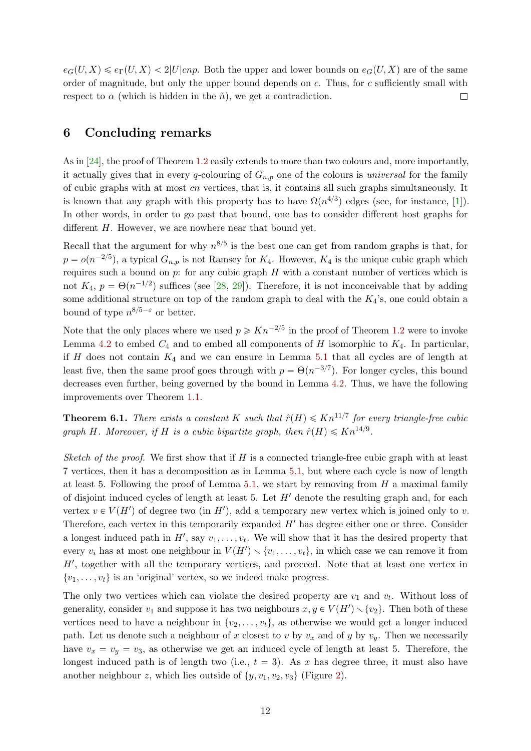$e_G(U, X) \leq e_{\Gamma}(U, X) < 2|U| c n p$ . Both the upper and lower bounds on  $e_G(U, X)$  are of the same order of magnitude, but only the upper bound depends on c. Thus, for c sufficiently small with respect to  $\alpha$  (which is hidden in the  $\tilde{n}$ ), we get a contradiction.  $\Box$ 

# <span id="page-11-0"></span>6 Concluding remarks

As in [\[24\]](#page-14-5), the proof of Theorem [1.2](#page-1-1) easily extends to more than two colours and, more importantly, it actually gives that in every q-colouring of  $G_{n,p}$  one of the colours is *universal* for the family of cubic graphs with at most cn vertices, that is, it contains all such graphs simultaneously. It is known that any graph with this property has to have  $\Omega(n^{4/3})$  edges (see, for instance, [\[1\]](#page-13-16)). In other words, in order to go past that bound, one has to consider different host graphs for different H. However, we are nowhere near that bound yet.

Recall that the argument for why  $n^{8/5}$  is the best one can get from random graphs is that, for  $p = o(n^{-2/5})$ , a typical  $G_{n,p}$  is not Ramsey for  $K_4$ . However,  $K_4$  is the unique cubic graph which requires such a bound on  $p$ : for any cubic graph  $H$  with a constant number of vertices which is not  $K_4$ ,  $p = \Theta(n^{-1/2})$  suffices (see [\[28,](#page-14-6) [29\]](#page-14-7)). Therefore, it is not inconceivable that by adding some additional structure on top of the random graph to deal with the  $K_4$ 's, one could obtain a bound of type  $n^{8/5-\epsilon}$  or better.

Note that the only places where we used  $p \geqslant Kn^{-2/5}$  in the proof of Theorem [1.2](#page-1-1) were to invoke Lemma [4.2](#page-8-2) to embed  $C_4$  and to embed all components of H isomorphic to  $K_4$ . In particular, if H does not contain  $K_4$  and we can ensure in Lemma [5.1](#page-8-1) that all cycles are of length at least five, then the same proof goes through with  $p = \Theta(n^{-3/7})$ . For longer cycles, this bound decreases even further, being governed by the bound in Lemma [4.2.](#page-8-2) Thus, we have the following improvements over Theorem [1.1.](#page-1-2)

**Theorem 6.1.** There exists a constant K such that  $\hat{r}(H) \leq Kn^{11/7}$  for every triangle-free cubic graph H. Moreover, if H is a cubic bipartite graph, then  $\hat{r}(H) \leq K n^{14/9}$ .

Sketch of the proof. We first show that if H is a connected triangle-free cubic graph with at least 7 vertices, then it has a decomposition as in Lemma [5.1,](#page-8-1) but where each cycle is now of length at least 5. Following the proof of Lemma [5.1,](#page-8-1) we start by removing from  $H$  a maximal family of disjoint induced cycles of length at least 5. Let  $H'$  denote the resulting graph and, for each vertex  $v \in V(H')$  of degree two (in H'), add a temporary new vertex which is joined only to v. Therefore, each vertex in this temporarily expanded  $H'$  has degree either one or three. Consider a longest induced path in  $H'$ , say  $v_1, \ldots, v_t$ . We will show that it has the desired property that every  $v_i$  has at most one neighbour in  $V(H') \setminus \{v_1, \ldots, v_t\}$ , in which case we can remove it from  $H'$ , together with all the temporary vertices, and proceed. Note that at least one vertex in  $\{v_1, \ldots, v_t\}$  is an 'original' vertex, so we indeed make progress.

The only two vertices which can violate the desired property are  $v_1$  and  $v_t$ . Without loss of generality, consider  $v_1$  and suppose it has two neighbours  $x, y \in V(H') \setminus \{v_2\}$ . Then both of these vertices need to have a neighbour in  $\{v_2, \ldots, v_t\}$ , as otherwise we would get a longer induced path. Let us denote such a neighbour of x closest to v by  $v_x$  and of y by  $v_y$ . Then we necessarily have  $v_x = v_y = v_3$ , as otherwise we get an induced cycle of length at least 5. Therefore, the longest induced path is of length two (i.e.,  $t = 3$ ). As x has degree three, it must also have another neighbour z, which lies outside of  $\{y, v_1, v_2, v_3\}$  (Figure [2\)](#page-12-0).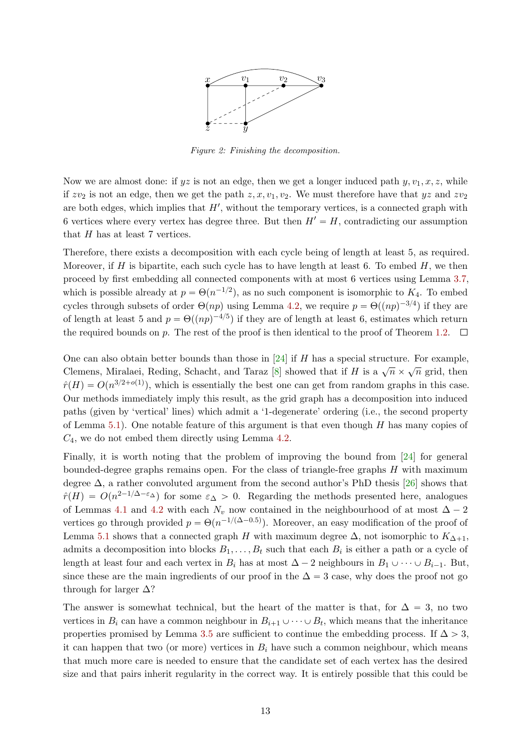

Figure 2: Finishing the decomposition.

<span id="page-12-0"></span>Now we are almost done: if  $yz$  is not an edge, then we get a longer induced path  $y, v_1, x, z$ , while if  $zv_2$  is not an edge, then we get the path  $z, x, v_1, v_2$ . We must therefore have that  $yz$  and  $zv_2$ are both edges, which implies that  $H'$ , without the temporary vertices, is a connected graph with 6 vertices where every vertex has degree three. But then  $H' = H$ , contradicting our assumption that  $H$  has at least 7 vertices.

Therefore, there exists a decomposition with each cycle being of length at least 5, as required. Moreover, if H is bipartite, each such cycle has to have length at least 6. To embed H, we then proceed by first embedding all connected components with at most 6 vertices using Lemma [3.7,](#page-5-0) which is possible already at  $p = \Theta(n^{-1/2})$ , as no such component is isomorphic to  $K_4$ . To embed cycles through subsets of order  $\Theta(np)$  using Lemma [4.2,](#page-8-2) we require  $p = \Theta((np)^{-3/4})$  if they are of length at least 5 and  $p = \Theta((np)^{-4/5})$  if they are of length at least 6, estimates which return the required bounds on p. The rest of the proof is then identical to the proof of Theorem [1.2.](#page-1-1)  $\Box$ 

One can also obtain better bounds than those in  $[24]$  if H has a special structure. For example, Clemens, Miralaei, Reding, Schacht, and Taraz [\[8\]](#page-13-17) showed that if H is a  $\sqrt{n} \times \sqrt{n}$  grid, then  $\hat{r}(H) = O(n^{3/2+o(1)})$ , which is essentially the best one can get from random graphs in this case. Our methods immediately imply this result, as the grid graph has a decomposition into induced paths (given by 'vertical' lines) which admit a '1-degenerate' ordering (i.e., the second property of Lemma [5.1\)](#page-8-1). One notable feature of this argument is that even though  $H$  has many copies of  $C_4$ , we do not embed them directly using Lemma [4.2.](#page-8-2)

Finally, it is worth noting that the problem of improving the bound from [\[24\]](#page-14-5) for general bounded-degree graphs remains open. For the class of triangle-free graphs  $H$  with maximum degree  $\Delta$ , a rather convoluted argument from the second author's PhD thesis [\[26\]](#page-14-13) shows that  $\hat{r}(H) = O(n^{2-1/\Delta-\epsilon_{\Delta}})$  for some  $\epsilon_{\Delta} > 0$ . Regarding the methods presented here, analogues of Lemmas [4.1](#page-6-1) and [4.2](#page-8-2) with each  $N_v$  now contained in the neighbourhood of at most  $\Delta - 2$ vertices go through provided  $p = \Theta(n^{-1/(\Delta - 0.5)})$ . Moreover, an easy modification of the proof of Lemma [5.1](#page-8-1) shows that a connected graph H with maximum degree  $\Delta$ , not isomorphic to  $K_{\Delta+1}$ , admits a decomposition into blocks  $B_1, \ldots, B_t$  such that each  $B_i$  is either a path or a cycle of length at least four and each vertex in  $B_i$  has at most  $\Delta - 2$  neighbours in  $B_1 \cup \cdots \cup B_{i-1}$ . But, since these are the main ingredients of our proof in the  $\Delta = 3$  case, why does the proof not go through for larger  $\Delta$ ?

The answer is somewhat technical, but the heart of the matter is that, for  $\Delta = 3$ , no two vertices in  $B_i$  can have a common neighbour in  $B_{i+1} \cup \cdots \cup B_t$ , which means that the inheritance properties promised by Lemma [3.5](#page-4-0) are sufficient to continue the embedding process. If  $\Delta > 3$ , it can happen that two (or more) vertices in  $B_i$  have such a common neighbour, which means that much more care is needed to ensure that the candidate set of each vertex has the desired size and that pairs inherit regularity in the correct way. It is entirely possible that this could be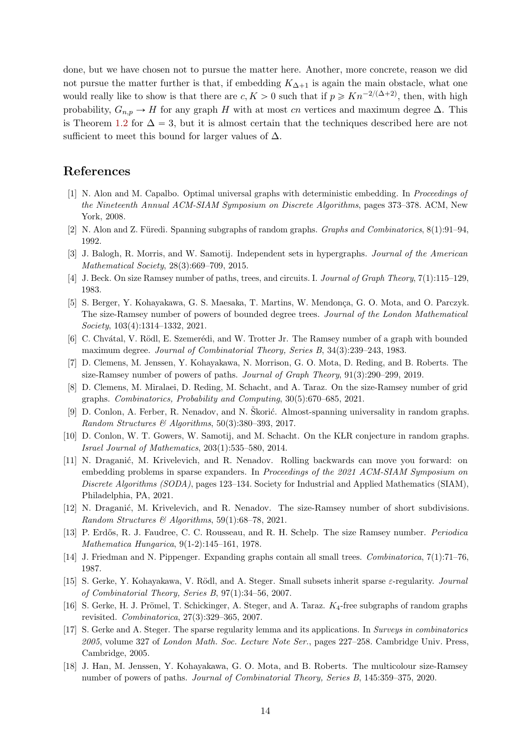done, but we have chosen not to pursue the matter here. Another, more concrete, reason we did not pursue the matter further is that, if embedding  $K_{\Delta+1}$  is again the main obstacle, what one would really like to show is that there are  $c, K > 0$  such that if  $p \geqslant Kn^{-2/(\Delta+2)}$ , then, with high probability,  $G_{n,p} \to H$  for any graph H with at most cn vertices and maximum degree  $\Delta$ . This is Theorem [1.2](#page-1-1) for  $\Delta = 3$ , but it is almost certain that the techniques described here are not sufficient to meet this bound for larger values of  $\Delta$ .

## References

- <span id="page-13-16"></span>[1] N. Alon and M. Capalbo. Optimal universal graphs with deterministic embedding. In Proceedings of the Nineteenth Annual ACM-SIAM Symposium on Discrete Algorithms, pages 373–378. ACM, New York, 2008.
- <span id="page-13-8"></span>[2] N. Alon and Z. Füredi. Spanning subgraphs of random graphs. *Graphs and Combinatorics*, 8(1):91–94, 1992.
- <span id="page-13-13"></span>[3] J. Balogh, R. Morris, and W. Samotij. Independent sets in hypergraphs. Journal of the American Mathematical Society, 28(3):669–709, 2015.
- <span id="page-13-1"></span>[4] J. Beck. On size Ramsey number of paths, trees, and circuits. I. Journal of Graph Theory, 7(1):115–129, 1983.
- <span id="page-13-3"></span>[5] S. Berger, Y. Kohayakawa, G. S. Maesaka, T. Martins, W. Mendonça, G. O. Mota, and O. Parczyk. The size-Ramsey number of powers of bounded degree trees. Journal of the London Mathematical Society, 103(4):1314–1332, 2021.
- <span id="page-13-7"></span>[6] C. Chvátal, V. Rödl, E. Szemerédi, and W. Trotter Jr. The Ramsey number of a graph with bounded maximum degree. Journal of Combinatorial Theory, Series B, 34(3):239–243, 1983.
- <span id="page-13-5"></span>[7] D. Clemens, M. Jenssen, Y. Kohayakawa, N. Morrison, G. O. Mota, D. Reding, and B. Roberts. The size-Ramsey number of powers of paths. Journal of Graph Theory, 91(3):290–299, 2019.
- <span id="page-13-17"></span>[8] D. Clemens, M. Miralaei, D. Reding, M. Schacht, and A. Taraz. On the size-Ramsey number of grid graphs. Combinatorics, Probability and Computing, 30(5):670–685, 2021.
- <span id="page-13-9"></span>[9] D. Conlon, A. Ferber, R. Nenadov, and N. Škorić. Almost-spanning universality in random graphs. Random Structures & Algorithms,  $50(3):380-393$ , 2017.
- <span id="page-13-12"></span>[10] D. Conlon, W. T. Gowers, W. Samotij, and M. Schacht. On the KLR conjecture in random graphs. Israel Journal of Mathematics, 203(1):535–580, 2014.
- <span id="page-13-4"></span>[11] N. Draganić, M. Krivelevich, and R. Nenadov. Rolling backwards can move you forward: on embedding problems in sparse expanders. In Proceedings of the 2021 ACM-SIAM Symposium on Discrete Algorithms (SODA), pages 123–134. Society for Industrial and Applied Mathematics (SIAM), Philadelphia, PA, 2021.
- <span id="page-13-15"></span>[12] N. Draganić, M. Krivelevich, and R. Nenadov. The size-Ramsey number of short subdivisions. Random Structures & Algorithms, 59(1):68–78, 2021.
- <span id="page-13-0"></span>[13] P. Erdős, R. J. Faudree, C. C. Rousseau, and R. H. Schelp. The size Ramsey number. *Periodica* Mathematica Hungarica, 9(1-2):145–161, 1978.
- <span id="page-13-2"></span>[14] J. Friedman and N. Pippenger. Expanding graphs contain all small trees. Combinatorica, 7(1):71–76, 1987.
- <span id="page-13-10"></span>[15] S. Gerke, Y. Kohayakawa, V. Rödl, and A. Steger. Small subsets inherit sparse  $\varepsilon$ -regularity. *Journal* of Combinatorial Theory, Series B, 97(1):34–56, 2007.
- <span id="page-13-14"></span>[16] S. Gerke, H. J. Prömel, T. Schickinger, A. Steger, and A. Taraz.  $K_4$ -free subgraphs of random graphs revisited. Combinatorica, 27(3):329–365, 2007.
- <span id="page-13-11"></span>[17] S. Gerke and A. Steger. The sparse regularity lemma and its applications. In Surveys in combinatorics 2005, volume 327 of London Math. Soc. Lecture Note Ser., pages 227–258. Cambridge Univ. Press, Cambridge, 2005.
- <span id="page-13-6"></span>[18] J. Han, M. Jenssen, Y. Kohayakawa, G. O. Mota, and B. Roberts. The multicolour size-Ramsey number of powers of paths. Journal of Combinatorial Theory, Series B, 145:359–375, 2020.